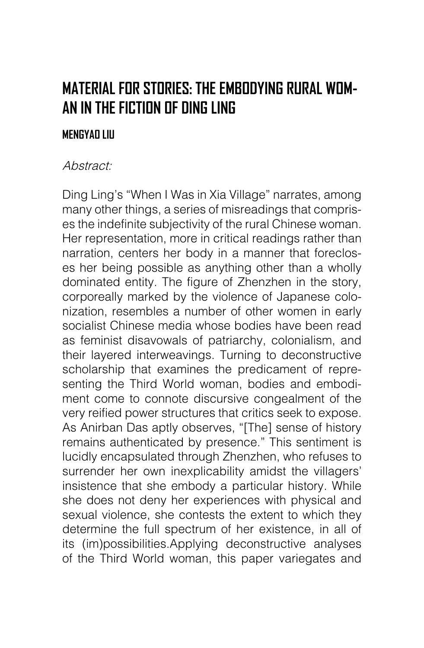## **MATERIAL FOR STORIES: THE EMBODYING RURAL WOM-AN IN THE FICTION OF DING LING**

## **MENGYAO LIU**

## Abstract:

Ding Ling's "When I Was in Xia Village" narrates, among many other things, a series of misreadings that comprises the indefinite subjectivity of the rural Chinese woman. Her representation, more in critical readings rather than narration, centers her body in a manner that forecloses her being possible as anything other than a wholly dominated entity. The figure of Zhenzhen in the story, corporeally marked by the violence of Japanese colonization, resembles a number of other women in early socialist Chinese media whose bodies have been read as feminist disavowals of patriarchy, colonialism, and their layered interweavings. Turning to deconstructive scholarship that examines the predicament of representing the Third World woman, bodies and embodiment come to connote discursive congealment of the very reified power structures that critics seek to expose. As Anirban Das aptly observes, "[The] sense of history remains authenticated by presence." This sentiment is lucidly encapsulated through Zhenzhen, who refuses to surrender her own inexplicability amidst the villagers' insistence that she embody a particular history. While she does not deny her experiences with physical and sexual violence, she contests the extent to which they determine the full spectrum of her existence, in all of its (im)possibilities.Applying deconstructive analyses of the Third World woman, this paper variegates and